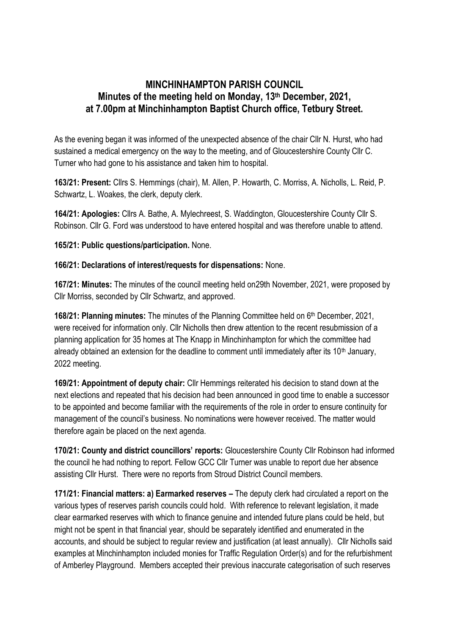## **MINCHINHAMPTON PARISH COUNCIL Minutes of the meeting held on Monday, 13th December, 2021, at 7.00pm at Minchinhampton Baptist Church office, Tetbury Street.**

As the evening began it was informed of the unexpected absence of the chair Cllr N. Hurst, who had sustained a medical emergency on the way to the meeting, and of Gloucestershire County Cllr C. Turner who had gone to his assistance and taken him to hospital.

**163/21: Present:** Cllrs S. Hemmings (chair), M. Allen, P. Howarth, C. Morriss, A. Nicholls, L. Reid, P. Schwartz, L. Woakes, the clerk, deputy clerk.

**164/21: Apologies:** Cllrs A. Bathe, A. Mylechreest, S. Waddington, Gloucestershire County Cllr S. Robinson. Cllr G. Ford was understood to have entered hospital and was therefore unable to attend.

**165/21: Public questions/participation.** None.

**166/21: Declarations of interest/requests for dispensations:** None.

**167/21: Minutes:** The minutes of the council meeting held on29th November, 2021, were proposed by Cllr Morriss, seconded by Cllr Schwartz, and approved.

**168/21: Planning minutes:** The minutes of the Planning Committee held on 6<sup>th</sup> December, 2021, were received for information only. Cllr Nicholls then drew attention to the recent resubmission of a planning application for 35 homes at The Knapp in Minchinhampton for which the committee had already obtained an extension for the deadline to comment until immediately after its 10<sup>th</sup> January, 2022 meeting.

**169/21: Appointment of deputy chair:** Cllr Hemmings reiterated his decision to stand down at the next elections and repeated that his decision had been announced in good time to enable a successor to be appointed and become familiar with the requirements of the role in order to ensure continuity for management of the council's business. No nominations were however received. The matter would therefore again be placed on the next agenda.

**170/21: County and district councillors' reports:** Gloucestershire County Cllr Robinson had informed the council he had nothing to report. Fellow GCC Cllr Turner was unable to report due her absence assisting Cllr Hurst. There were no reports from Stroud District Council members.

**171/21: Financial matters: a) Earmarked reserves –** The deputy clerk had circulated a report on the various types of reserves parish councils could hold. With reference to relevant legislation, it made clear earmarked reserves with which to finance genuine and intended future plans could be held, but might not be spent in that financial year, should be separately identified and enumerated in the accounts, and should be subject to regular review and justification (at least annually). Cllr Nicholls said examples at Minchinhampton included monies for Traffic Regulation Order(s) and for the refurbishment of Amberley Playground. Members accepted their previous inaccurate categorisation of such reserves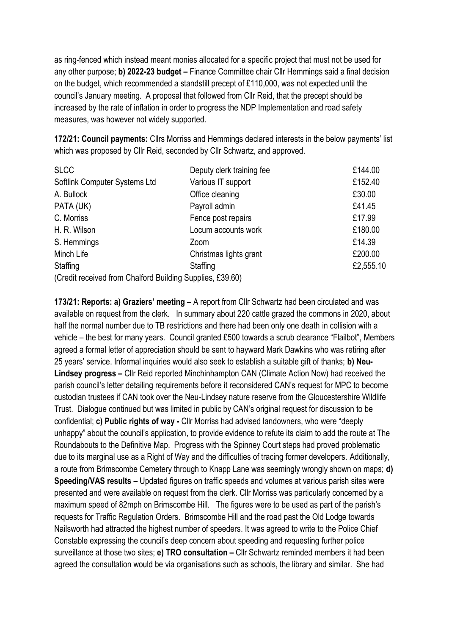as ring-fenced which instead meant monies allocated for a specific project that must not be used for any other purpose; **b) 2022-23 budget –** Finance Committee chair Cllr Hemmings said a final decision on the budget, which recommended a standstill precept of £110,000, was not expected until the council's January meeting. A proposal that followed from Cllr Reid, that the precept should be increased by the rate of inflation in order to progress the NDP Implementation and road safety measures, was however not widely supported.

**172/21: Council payments:** Cllrs Morriss and Hemmings declared interests in the below payments' list which was proposed by Cllr Reid, seconded by Cllr Schwartz, and approved.

| <b>SLCC</b>                                               | Deputy clerk training fee | £144.00   |
|-----------------------------------------------------------|---------------------------|-----------|
| Softlink Computer Systems Ltd                             | Various IT support        | £152.40   |
| A. Bullock                                                | Office cleaning           | £30.00    |
| PATA (UK)                                                 | Payroll admin             | £41.45    |
| C. Morriss                                                | Fence post repairs        | £17.99    |
| H. R. Wilson                                              | Locum accounts work       | £180.00   |
| S. Hemmings                                               | Zoom                      | £14.39    |
| Minch Life                                                | Christmas lights grant    | £200.00   |
| Staffing                                                  | Staffing                  | £2,555.10 |
| (Credit received from Chalford Building Supplies, £39.60) |                           |           |

**173/21: Reports: a) Graziers' meeting –** A report from Cllr Schwartz had been circulated and was available on request from the clerk. In summary about 220 cattle grazed the commons in 2020, about half the normal number due to TB restrictions and there had been only one death in collision with a vehicle – the best for many years. Council granted £500 towards a scrub clearance "Flailbot", Members agreed a formal letter of appreciation should be sent to hayward Mark Dawkins who was retiring after 25 years' service. Informal inquiries would also seek to establish a suitable gift of thanks; **b) Neu-Lindsey progress –** Cllr Reid reported Minchinhampton CAN (Climate Action Now) had received the parish council's letter detailing requirements before it reconsidered CAN's request for MPC to become custodian trustees if CAN took over the Neu-Lindsey nature reserve from the Gloucestershire Wildlife Trust. Dialogue continued but was limited in public by CAN's original request for discussion to be confidential; **c) Public rights of way -** Cllr Morriss had advised landowners, who were "deeply unhappy" about the council's application, to provide evidence to refute its claim to add the route at The Roundabouts to the Definitive Map. Progress with the Spinney Court steps had proved problematic due to its marginal use as a Right of Way and the difficulties of tracing former developers. Additionally, a route from Brimscombe Cemetery through to Knapp Lane was seemingly wrongly shown on maps; **d) Speeding/VAS results –** Updated figures on traffic speeds and volumes at various parish sites were presented and were available on request from the clerk. Cllr Morriss was particularly concerned by a maximum speed of 82mph on Brimscombe Hill. The figures were to be used as part of the parish's requests for Traffic Regulation Orders. Brimscombe Hill and the road past the Old Lodge towards Nailsworth had attracted the highest number of speeders. It was agreed to write to the Police Chief Constable expressing the council's deep concern about speeding and requesting further police surveillance at those two sites; **e) TRO consultation –** Cllr Schwartz reminded members it had been agreed the consultation would be via organisations such as schools, the library and similar. She had